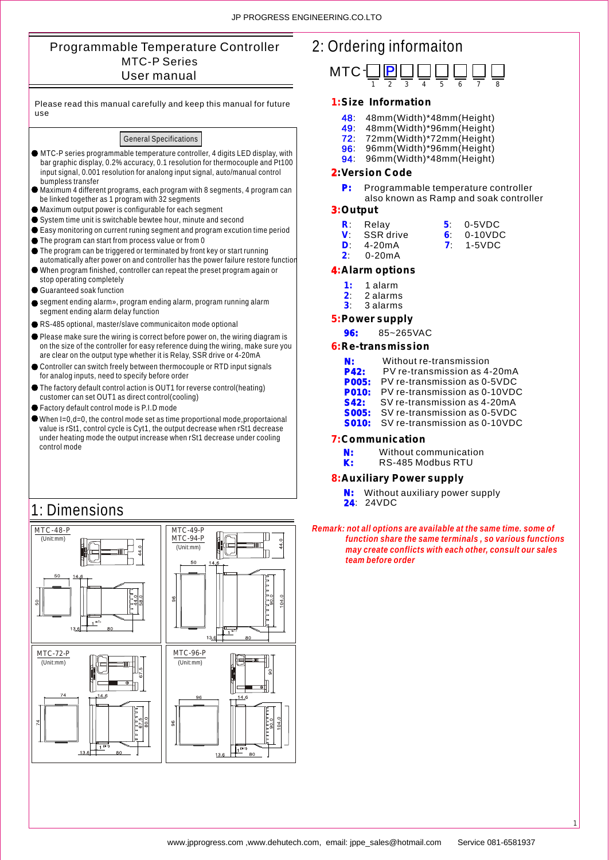### Programmable Temperature Controller MTC-P Series User manual

| control mode                                                                                                                                                                                                                                                                                                                                                                                       |                                                                                |
|----------------------------------------------------------------------------------------------------------------------------------------------------------------------------------------------------------------------------------------------------------------------------------------------------------------------------------------------------------------------------------------------------|--------------------------------------------------------------------------------|
|                                                                                                                                                                                                                                                                                                                                                                                                    |                                                                                |
|                                                                                                                                                                                                                                                                                                                                                                                                    |                                                                                |
| 1: Dimensions                                                                                                                                                                                                                                                                                                                                                                                      |                                                                                |
| $\frac{\text{MTC-48-P}}{\text{(Unit:mm)}}$<br>44.0<br>M<br>50<br>14.6                                                                                                                                                                                                                                                                                                                              | MTC-49-P<br>MTC-94-P<br>L<br>44.0<br>3<br>(Unit:mm)<br>50<br>14.6              |
| 44.0<br>58.0<br>$50\,$<br>$1(n+1)$<br>13.6<br>80                                                                                                                                                                                                                                                                                                                                                   | 104.0<br>$\frac{6}{2}$<br>$\frac{1}{1^{45}}$<br>13.6<br>80                     |
| <b>MTC-72-P</b><br>(Unit:mm)<br>Ш<br>LQ<br>57<br>◉<br>74<br>14.6                                                                                                                                                                                                                                                                                                                                   | MTC-96-P<br>(Unit:mm)<br>31<br>$\overline{6}$<br>w<br>⊛<br>14.6<br>96          |
| $\begin{bmatrix} 1 & 0 & 0 \\ 0 & 1 & 0 \\ 0 & 0 & 0 \\ 0 & 0 & 0 \\ 0 & 0 & 0 \\ 0 & 0 & 0 \\ 0 & 0 & 0 \\ 0 & 0 & 0 \\ 0 & 0 & 0 \\ 0 & 0 & 0 \\ 0 & 0 & 0 \\ 0 & 0 & 0 \\ 0 & 0 & 0 \\ 0 & 0 & 0 \\ 0 & 0 & 0 & 0 \\ 0 & 0 & 0 & 0 \\ 0 & 0 & 0 & 0 \\ 0 & 0 & 0 & 0 \\ 0 & 0 & 0 & 0 & 0 \\ 0 & 0 & 0 & 0 & 0 \\ 0 & 0 & 0 & $<br>80.0<br>$\overline{74}$<br>$\frac{1}{1}$ (* 1)<br>13.6<br>80 | יידידים 20.0<br>דיידידידידי<br>104.0<br>96<br>$\frac{1}{1}$ (* 0<br>80<br>13.6 |

## Please read this manual carefully and keep this manual for future use

#### General Specifications

- MTC-P series programmable temperature controller, 4 digits LED display, with bar graphic display, 0.2% accuracy, 0.1 resolution for thermocouple and Pt100 input signal, 0.001 resolution for analong input signal, auto/manual control bumpless transfer
- Maximum 4 different programs, each program with 8 segments, 4 program can be linked together as 1 program with 32 segments
- Maximum output power is configurable for each segment
- System time unit is switchable bewtee hour, minute and second
- Easy monitoring on current runing segment and program excution time period  $\bullet$  The program can start from process value or from 0
- $\bullet$  The program can be triggered or terminated by front key or start running
- automatically after power on and controller has the power failure restore function When program finished, controller can repeat the preset program again or
- stop operating completely Guaranteed soak function
- 
- segment ending alarm», program ending alarm, program running alarm segment ending alarm delay function
- RS-485 optional, master/slave communicaiton mode optional
- Please make sure the wiring is correct before power on, the wiring diagram is on the size of the controller for easy reference duing the wiring, make sure you are clear on the output type whether it is Relay, SSR drive or 4-20mA
- Controller can switch freely between thermocouple or RTD input signals for analog inputs, need to specify before order
- The factory default control action is OUT1 for reverse control(heating) customer can set OUT1 as direct control(cooling)
- Factory default control mode is P.I.D mode
- $\bullet$  When I=0,d=0, the control mode set as time proportional mode, proportaional value is rSt1, control cycle is Cyt1, the output decrease when rSt1 decrease under heating mode the output increase when rSt1 decrease under cooling control mode

# 2: Ordering informaiton



#### **1:Size Information**

- **48**: 48mm(Width)\*48mm(Height)
	- : 48mm(Width)\*96mm(Height) 49
- : 72mm(Width)\*72mm(Height) 72
- 96: 96mm(Width)\*96mm(Height) 94: 96mm(Width)\*48mm(Height) 96

#### **2:Version Code**

**P:** Programmable temperature controller

### also known as Ramp and soak controller

### **3:Output**

| <b>R</b> : Relay   | <b>5</b> 0-5VDC   |
|--------------------|-------------------|
| <b>V</b> SSR drive | 6: $0-10VDC$      |
| $D: 4-20mA$        | <b>7</b> : 1-5VDC |

**2** : 0-20mA

#### $\overline{1}$ **4:Alarm options**

- **1:**  1 alarm
- **2** : 2 alarms
- **3** : 3 alarms

#### **5:Power supply**

**96:**  85~265VAC

 **6:Re-transmission**

| N:           | Without re-transmission       |
|--------------|-------------------------------|
| <b>P42:</b>  | PV re-transmission as 4-20mA  |
| <b>P005:</b> | PV re-transmission as 0-5VDC  |
| <b>P010:</b> | PV re-transmission as 0-10VDC |
| <b>S42:</b>  | SV re-transmission as 4-20mA  |
| <b>S005:</b> | SV re-transmission as 0-5VDC  |
| <b>S010:</b> | SV re-transmission as 0-10VDC |

## **7:Communication**

| N:  | Without communication |  |
|-----|-----------------------|--|
| - - |                       |  |

| K: | RS-485 Modbus RTU |
|----|-------------------|
|----|-------------------|

### **8:Auxiliary Power supply**

**N:**  Without auxiliary power supply

- **24** : 24VDC
- *Remark: not all options are available at the same time. some of function share the same terminals , so various functions may create conflicts with each other, consult our sales team before order*

1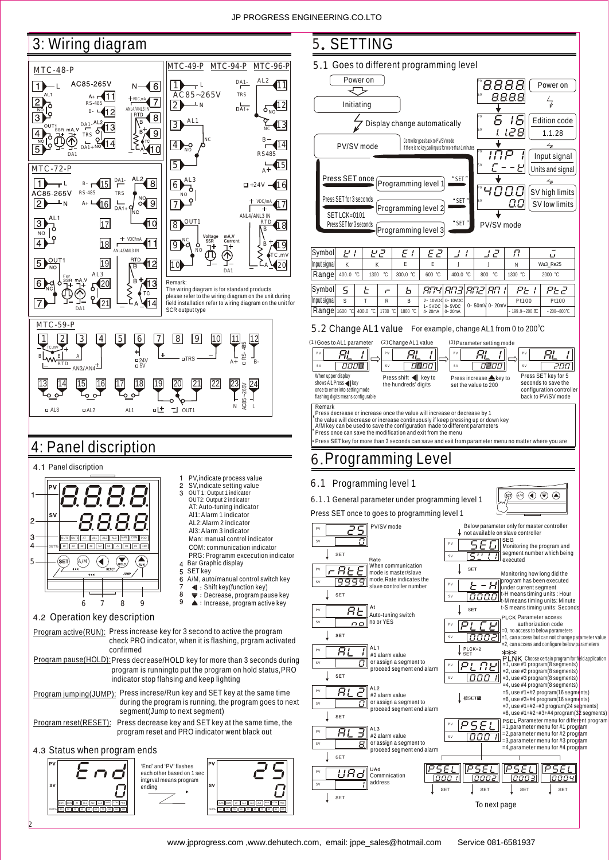## 3: Wiring diagram

2





www.jpprogress.com ,www.dehutech.com, email: jppe\_sales@hotmail.com Service 081-6581937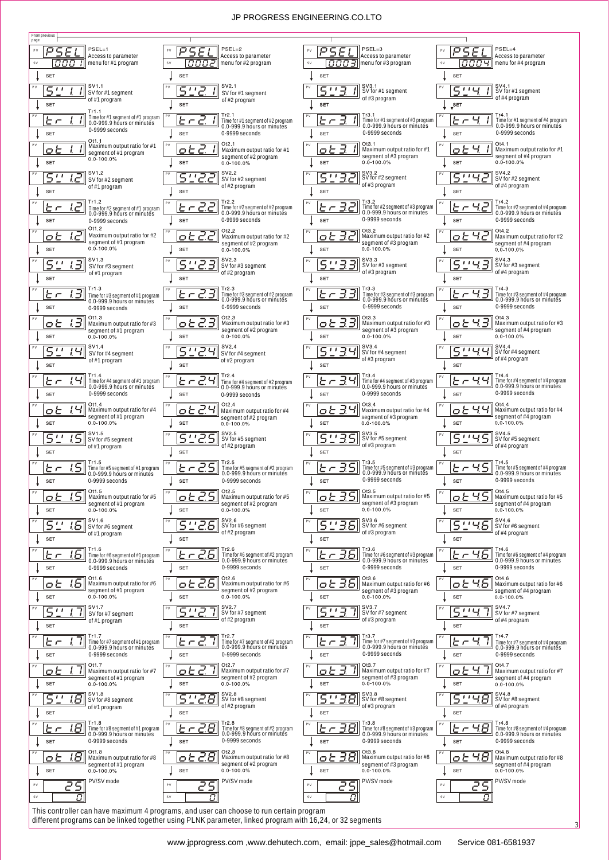### JP PROGRESS ENGINEERING.CO.LTO

| From previous<br>page                                                                                                             |                                                                                                                                                                                                      |                                                                                                                                                              |                                                                                                                                  |
|-----------------------------------------------------------------------------------------------------------------------------------|------------------------------------------------------------------------------------------------------------------------------------------------------------------------------------------------------|--------------------------------------------------------------------------------------------------------------------------------------------------------------|----------------------------------------------------------------------------------------------------------------------------------|
| PSE<br>$PSEL = 1$<br>PV<br>Access to parameter<br>$\overline{G}\overline{G}\overline{G}$ / menu for #1 program<br>SV              | $PSEL=2$<br>PSE<br>L<br>Access to parameter<br>$\overline{B}$ $\overline{B}$ $\overline{B}$ menu for #2 program<br>SV                                                                                | $PSEL=3$<br>ρ<br>$5\varepsilon$<br>L<br>PV<br>Access to parameter<br>$\overline{O}$ $\overline{O}$ $\overline{S}$ menu for #3 program<br>$\texttt{SV}$       | $PSEL=4$<br>PSE<br>L<br>PV<br>Access to parameter<br>000 Y I<br>$\texttt{SV}$<br>menu for #4 program                             |
| <b>SET</b><br>SV1.1<br>PV<br>52<br>$\left  \cdot \right $<br>SV for #1 segment<br>of #1 program<br>SET                            | <b>SET</b><br>SV <sub>2.1</sub><br><u> Sua</u><br>$\sqrt{ }$<br>SV for #1 segment<br>of #2 program<br>SET                                                                                            | <b>SET</b><br>SV3 1<br>SV for #1 segment<br><u> 543</u><br>$\left  \cdot \right $<br>of #3 program<br><b>SET</b>                                             | <b>SET</b><br>SV4.1<br>SV for #1 segment<br>PV<br><u> 544</u><br>$\sqrt{ }$<br>of #4 program<br>SET                              |
| Tr1.1<br>Time for #1 segment of #1 program<br>$\sqrt{1}$<br>$\sqrt{ }$<br>0.0-999.9 hours or minutes<br>0-9999 seconds<br>SET     | Tr2.1<br>$\frac{1}{2}$<br>ととご<br>Time for #1 segment of #2 program<br>0.0-999.9 hours or minutes<br>SET<br>0-9999 seconds                                                                            | Tr3.1<br>$\left  \cdot \right $<br>$\subset \exists$<br>E<br>Time for #1 segment of #3 program<br>0.0-999.9 hours or minutes<br>0-9999 seconds<br><b>SET</b> | PV<br>$-41$<br>E<br>Time for #1 segment of #4 program<br>0.0-999.9 hours or minutes<br>0-9999 seconds<br>SET                     |
| O <sub>1.1</sub><br>Maximum output ratio for #1<br>oξ<br>seament of #1 program<br>$0.\overline{0}$ 100.0%<br>SET                  | Ot2.1<br>$\cdot$<br>2.<br>οŁ<br>Maximum output ratio for #1<br>segment of #2 program<br>SET<br>0.0100.0%                                                                                             | Ot3.1<br>PV<br>3.<br>ot<br>Maximum output ratio for #1<br>segment of #3 program<br>$0.\vec{0}$ 100.0%<br>SET                                                 | Ot4.1<br>ч<br>oŁ<br>Maximum output ratio for #1<br>segment of #4 program<br>0.0100.0%<br><b>SET</b>                              |
| SV1.2<br>i2<br>5 L'<br>SV for #2 segment<br>of #1 program<br>SET                                                                  | SV2.2<br><u>sua</u><br>'2<br>SV for #2 segment<br>of #2 program<br>SET                                                                                                                               | SV3.2<br>SV for #2 segment<br>5 L' 3<br>of #3 program<br>SET                                                                                                 | SV4.2<br><u> 51142</u><br>SV for #2 segment<br>of #4 program<br>SET                                                              |
| Tr1.2<br>ι2<br>Ł<br>Time for #2 segment of #1 program<br>0.0-999.9 hours or minutes<br><b>SET</b><br>0-9999 seconds               | Tr2.2<br>-22<br>Ł.<br>Time for #2 segment of #2 program<br>0.0-999.9 hours or minutes<br>0-9999 seconds<br>SET                                                                                       | Tr3.2<br>PV<br>32<br>Time for #2 segment of #3 program<br>0.0-999.9 hours or minutes<br>$\sqrt{ }$<br>0-9999 seconds<br>SET                                  | Tr4.2<br>PV<br>Чг<br>Ł<br>$\sqrt{ }$<br>Time for #2 segment of #4 program<br>0.0-999.9 hours or minutes<br>0-9999 seconds<br>SET |
| Ot1.2<br>12<br>Maximum output ratio for #2<br>oτ<br>segment of #1 program<br>0.0100.0%<br>SET                                     | Ot2.2<br>ot 22<br>Maximum output ratio for #2<br>seament of #2 program<br><b>SET</b><br>$0.\overline{0}$ 100.0%                                                                                      | Ot3.2<br>$\overline{\beta}$<br>ē<br>ot<br>Maximum output ratio for #2<br>segment of #3 program<br>$0.0100.0\%$<br>SET                                        | Ot4.2<br>ot 42<br>Maximum output ratio for #2<br>segment of #4 program<br>0.0100.0%<br>SET                                       |
| SV1.3<br>13<br>$5$ $\overline{ }$<br>SV for #3 segment<br>of #1 program<br>SET                                                    | SV2.3<br><u> 5112.3</u><br>SV for #3 segment<br>of #2 program<br>SET                                                                                                                                 | SV3.3<br>3<br>523<br>SV for #3 segment<br>of #3 program<br>SET                                                                                               | SV4.3<br><u> 51143 </u><br>SV for #3 segment<br>of #4 program<br>SET                                                             |
| Tr1.3<br>13<br>E<br>$\sqrt{ }$<br>Time for #3 segment of #1 program<br>0.0-999.9 hours or minutes<br><b>SET</b><br>0-9999 seconds | Tr2.3<br>$\overline{c}$ .3<br>とと<br>Time for #3 segment of #2 program<br>0.0-999.9 hours or minutes<br>0-9999 seconds<br>SET                                                                         | Tr3.3<br>$\exists \exists$<br>E<br>Time for #3 segment of #3 program<br>$\sqrt{ }$<br>0.0-999.9 hours or minutes<br>0-9999 seconds<br><b>SET</b>             | Tr4.3<br>43<br>Ł<br>Time for #3 seament of #4 program<br>$\sqrt{ }$<br>0.0-999.9 hours or minutes<br>0-9999 seconds<br>SET       |
| Ot1.3<br>13<br>ot<br>Maximum output ratio for #3<br>segment of #1 program<br>SET<br>0.0100.0%                                     | Ot2.3<br>ot 23<br>Maximum output ratio for #3<br>segment of #2 program<br>0.0100.0%<br>SET                                                                                                           | Ot3.3<br>$\exists \exists$<br>ot<br>Maximum output ratio for #3<br>segment of #3 program<br>0.0100.0%<br>SET                                                 | Ot4.3<br>o E H 3<br>Maximum output ratio for #3<br>segment of #4 program<br>$0.0 - 100.0%$<br>SET                                |
| SV1.4<br>52<br>ाप<br>SV for #4 segment<br>of #1 program<br><b>SET</b>                                                             | SV2.4<br><u> 51129</u><br>SV for #4 segment<br>of #2 program<br><b>SET</b>                                                                                                                           | SV3.4<br>5분문의<br>SV for #4 segment<br>of #3 program<br><b>SET</b>                                                                                            | SV4.4<br>SV for #4 segment<br>5239<br>of #4 program<br><b>SET</b>                                                                |
| と<br>Time for #4 segment of #1 program<br>$\sqrt{ }$<br>0.0-999.9 hours or minutes<br>0-9999 seconds<br><b>SET</b>                | $E \subset \overline{C}$ H<br>Time for #4 segment of #2 program<br>0.0-999.9 hours or minutes<br><b>SET</b><br>0-9999 seconds                                                                        | PV<br>34<br>E<br>Time for #4 segment of #3 program<br>0.0-999.9 hours or minutes<br>$\sqrt{ }$<br>0-9999 seconds<br>SET                                      | 복목<br>$E \subset$<br>Time for #4 segment of #4 program<br>0.0-999.9 hours or minutes<br>0-9999 seconds<br>SET                    |
| Ot1.4<br>$l - l$<br>Maximum output ratio for #4<br>oτ<br>segment of #1 program<br>0.0100.0%<br>SET                                | Ot2.4<br>o E 2.9<br>Maximum output ratio for #4<br>segment of #2 program<br>SET<br>$0.\overline{0}$ 100.0%                                                                                           | Ot3.4<br>ot<br>Maximum output ratio for #4<br>segment of #3 program<br>SET<br>$0.\overline{0}$ 100.0%                                                        | Ot4.4<br>44<br>ot<br>Maximum output ratio for #4<br>segment of #4 program<br>SET<br>$0.\overline{0}$ 100.0%                      |
| SV1.5<br>15<br>5 L'<br>SV for #5 segment<br>of #1 program<br><b>SET</b>                                                           | SV <sub>2.5</sub><br><u> 51'25</u><br>SV for #5 segment<br>of #2 program<br><b>SET</b>                                                                                                               | SV3.5<br>SV for #5 segment<br>5.735<br>of #3 program<br>SET                                                                                                  | SV4.5<br>51145<br>SV for #5 segment<br>of #4 program<br><b>SET</b>                                                               |
| Tr1.5<br>15<br>とと<br>Time for #5 segment of #1 program<br>0.0-999.9 hours or minutes<br>0-9999 seconds<br>SET                     | 25<br>とと<br>Time for #5 segment of #2 program<br>0.0-999.9 hours or minutes<br>0-9999 seconds<br>SET                                                                                                 | 35<br>E<br>Time for #5 segment of #3 program<br>0.0-999.9 hours or minutes<br>$\sqrt{ }$<br>0-9999 seconds<br><b>SET</b>                                     | $-5$<br>E<br>Time for #5 segment of #4 program<br>0.0-999.9 hours or minutes<br>$\sqrt{ }$<br>0-9999 seconds<br>SET              |
| Ot1.5<br>oŁ<br>Maximum output ratio for #5<br>segment of #1 program<br>SET<br>0.0100.0%                                           | Ot2.5<br><u>ot 25</u><br>Maximum output ratio for #5<br>segment of #2 program<br>SET<br>$0.\vec{0}$ 100.0%                                                                                           | Ot3.5<br><u>ot 351</u><br>Maximum output ratio for #5<br>segment of #3 program<br>$0.0100.0\%$<br>SET                                                        | Ot4.5<br>o E R SI<br>Maximum output ratio for #5<br>segment of #4 program<br>0.0100.0%<br>SET                                    |
| SV1.6<br>$\overline{15}$<br>52<br>SV for #6 segment<br>of #1 program<br>SET                                                       | SV2.6<br><u> 5112.8</u><br>SV for #6 segment<br>of #2 program<br>SET                                                                                                                                 | SV3.6<br>5235<br>SV for #6 segment<br>of #3 program<br>SET                                                                                                   | SV4.6<br>51146<br>SV for #6 segment<br>of #4 program<br>SET                                                                      |
| Tr1.6<br>15<br><u>는 ក</u><br>Time for #6 segment of #1 program<br>0.0-999.9 hours or minutes<br>SET<br>0-9999 seconds             | Tr2.6<br>$\overline{25}$<br>Ε<br>Time for #6 segment of #2 program<br>0.0-999.9 hours or minutes<br>$\sqrt{ }$<br>0-9999 seconds<br>SET                                                              | Tr3.6<br>$-36$<br>Time for #6 segment of #3 program<br>0.0-999.9 hours or minutes<br>0-9999 seconds<br>SET                                                   | Tr4.6<br>$-45$<br>Έ<br>Time for #6 segment of #4 program<br>0.0-999.9 hours or minutes<br>0-9999 seconds<br>SET                  |
| Ot1.6<br>15<br>Maximum output ratio for #6<br>ot<br>segment of #1 program<br>$0.0 - 100.0%$<br>SET                                | Ot2.6<br>ot 25<br>Maximum output ratio for #6<br>segment of #2 program<br>0.0100.0%<br><b>SET</b>                                                                                                    | Ot3.6<br>${\sf PV}$<br>$oE$ 36<br>Maximum output ratio for #6<br>segment of #3 program<br>$0.0100.0\%$<br><b>SET</b>                                         | Ot4.6<br>o E 46<br>Maximum output ratio for #6<br>segment of #4 program<br>0.0100.0%<br>SET                                      |
| SV1.7<br>PV<br>7<br>5 L'<br>SV for #7 segment<br>of #1 program<br>SET                                                             | SV <sub>2.7</sub><br>52 Z.<br>SV for #7 segment<br>of #2 program<br>SET                                                                                                                              | SV3.7<br>SV for #7 segment<br><u> 523</u><br>of #3 program<br><b>SET</b>                                                                                     | SV4.7<br>529.<br>SV for #7 segment<br>of #4 program<br>SET                                                                       |
| Tr1.7<br>7<br>とと<br>Time for #7 segment of #1 program<br>0.0-999.9 hours or minutes<br>SET<br>0-9999 seconds                      | Tr2.7<br>2<br>と<br>Time for #7 segment of #2 program<br>0.0-999.9 hours or minutes<br>$\sqrt{ }$<br>0-9999 seconds<br>SET                                                                            | Tr3.7<br>$\subset \exists$<br>E<br>Time for #7 segment of #3 program<br>0.0-999.9 hours or minutes<br>0-9999 seconds<br>SET                                  | $-$ 4.<br>E<br>Time for #7 segment of #4 program<br>0.0-999.9 hours or minutes<br>SET<br>0-9999 seconds                          |
| Ot1.7<br>71<br>$\mathbf{0}$ t<br>Maximum output ratio for #7<br>segment of #1 program<br>SET<br>$0.0 - 100.0%$                    | Ot2.7<br>7<br>ot 2.<br>Maximum output ratio for #7<br>segment of #2 program<br><b>SET</b><br>$0.0100.0\%$                                                                                            | Ot3.7<br>PV<br>7<br>3.<br>οE<br>Maximum output ratio for #7<br>segment of #3 program<br>$0.0100.0\%$<br><b>SET</b>                                           | Ot4.7<br><u>543 ع</u><br>Maximum output ratio for #7<br>segment of #4 program<br>SET<br>$0.\vec{0}$ 100.0%                       |
| SV1.8<br>5 L'<br>18<br>SV for #8 segment<br>of #1 program<br>SET                                                                  | SV2.8<br>SV for #8 segment<br><u> 5112.8</u><br>of #2 program<br>SET                                                                                                                                 | SV3.8<br>SV for #8 segment<br>5113B<br>of #3 program<br>SET                                                                                                  | SV4.8<br>51148<br>SV for #8 segment<br>of #4 program<br>SET                                                                      |
| Tr1.8<br>18<br>Time for #8 segment of #1 program<br>0.0-999.9 hours or minutes<br>r<br>0-9999 seconds<br><b>SET</b>               | Tr2.8<br>28<br>Time for #8 segment of #2 program<br>0.0-999.9 hours or minutes<br>Έ<br>0-9999 seconds<br>SET                                                                                         | Tr3.8<br>PV<br>381<br>Time for #8 segment of #3 program<br>0.0-999.9 hours or minutes<br>$\sqrt{ }$<br>0-9999 seconds<br><b>SET</b>                          | 48<br>Time for #8 segment of #4 program<br>0.0-999.9 hours or minutes<br>$\sqrt{ }$<br>0-9999 seconds<br>SET                     |
| Ot1.8<br>18<br><u>o</u> t<br>Maximum output ratio for #8<br>segment of #1 program<br>SET<br>$0.\vec{0}$ 100.0%                    | Ot2.8<br>ot 2.8<br>Maximum output ratio for #8<br>segment of #2 program<br>$0.0 - 100.0\%$<br>SET                                                                                                    | Ot3.8<br>$\overline{\beta B}$<br>οE<br>Maximum output ratio for #8<br>segment of #3 program<br>0.0-100.0%<br>SET                                             | Ot4.8<br>o E 48<br>Maximum output ratio for #8<br>segment of #4 program<br>$0.0 - 100.0%$<br>SET                                 |
| PV/SV mode<br><u>25</u><br>Π<br>SV                                                                                                | PV/SV mode<br>25<br>Π<br>SV                                                                                                                                                                          | PV/SV mode<br>25<br>PV<br>Π                                                                                                                                  | PV/SV mode<br>25<br>PV<br>$\overline{C}$<br>SV                                                                                   |
|                                                                                                                                   | This controller can have maximum 4 programs, and user can choose to run certain program<br>different programs can be linked together using PLNK parameter, linked program with 16,24, or 32 segments |                                                                                                                                                              |                                                                                                                                  |

3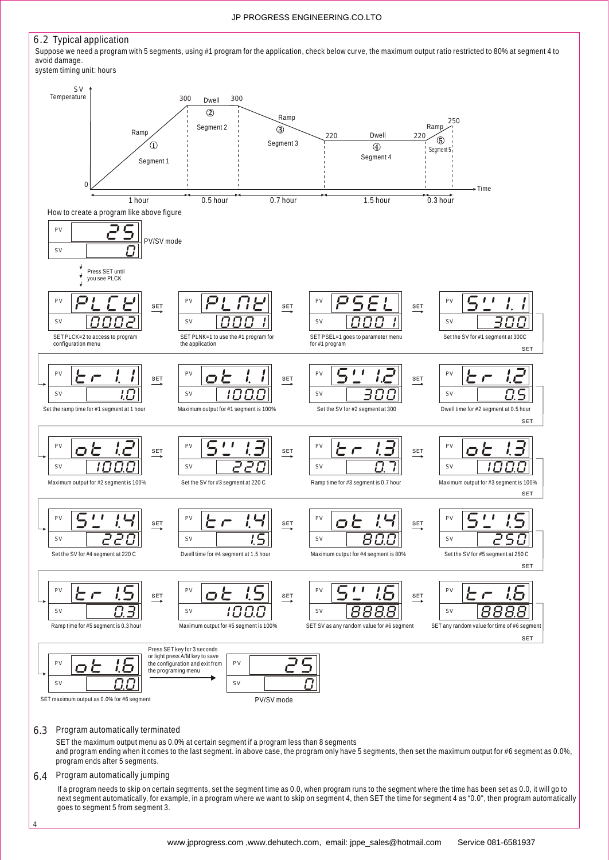#### 6.2 Typical application

Suppose we need a program with 5 segments, using #1 program for the application, check below curve, the maximum output ratio restricted to 80% at segment 4 to avoid damage.

#### system timing unit: hours



#### 6.4 Program automatically jumping

If a program needs to skip on certain segments, set the segment time as 0.0, when program runs to the segment where the time has been set as 0.0, it will go to next segment automatically, for example, in a program where we want to skip on segment 4, then SET the time for segment 4 as "0.0", then program automatically goes to segment 5 from segment 3.

4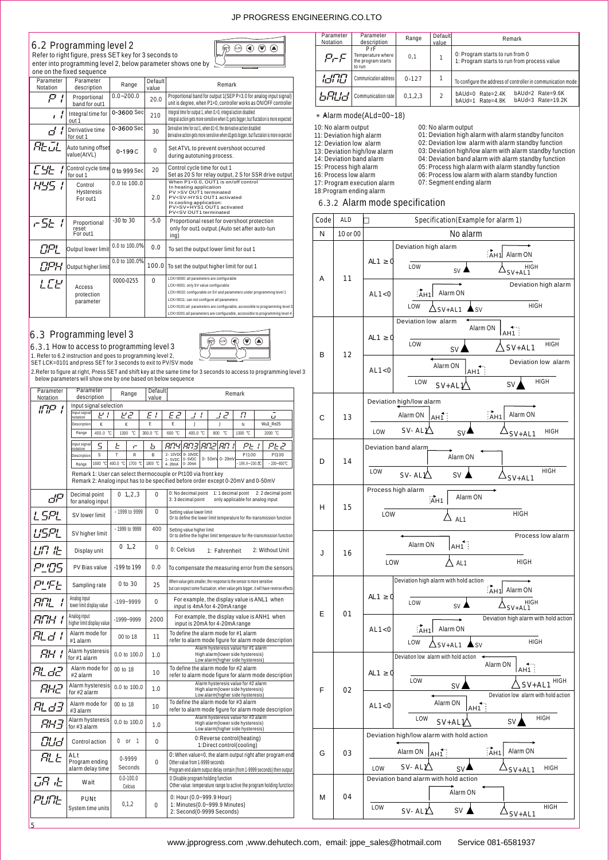#### JP PROGRESS ENGINEERING.CO.LTO

 $\n *p* ④ ④ ②$ 

 $\overline{\textcircled{\tiny \bullet}}$  $\overline{\circledast}$ 

#### 6.2 Programming level 2

Refer to right figure, press SET key for 3 seconds to<br>enter into programming level 2, below parameter sh enter into programming level 2, below parameter shows one by one

|                                                                                                                                                                                                                | one on the fixed sequence         |               |                  | enter into programming level 2, below parameter shows one by                                                                                                                                                                                                                                                                                                           |  |  |
|----------------------------------------------------------------------------------------------------------------------------------------------------------------------------------------------------------------|-----------------------------------|---------------|------------------|------------------------------------------------------------------------------------------------------------------------------------------------------------------------------------------------------------------------------------------------------------------------------------------------------------------------------------------------------------------------|--|--|
| Parameter<br>Notation                                                                                                                                                                                          | Parameter<br>description          | Range         | Default<br>value | Remark                                                                                                                                                                                                                                                                                                                                                                 |  |  |
| Р                                                                                                                                                                                                              | Proportional<br>band for out1     | $0.0 - 200.0$ | 20.0             | Proportional band for output 1(SEP P=3.0 for analog input signal)<br>unit is degree, when P1=0, controller works as ON/OFF controller                                                                                                                                                                                                                                  |  |  |
| 0-3600 Sec<br>Integral time for output 1, when I1=0, integral action disabled<br>Integral time for<br>210<br>integral action gets more sensitive when I1 gets bigger, but fluctation is more expected<br>out 1 |                                   |               |                  |                                                                                                                                                                                                                                                                                                                                                                        |  |  |
|                                                                                                                                                                                                                | Derivative time<br>for out 1      | 0-3600 Sec    | 30               | Derivative time for out 1, when d1=0, the derivative action disabled<br>derivative action gets more sensitive when d1gets bigger, but fluctation is more expected                                                                                                                                                                                                      |  |  |
| REJL                                                                                                                                                                                                           | Auto tuning offset<br>value(AtVL) | 0.199C        | $\Omega$         | Set ATVL to prevent overshoot occurred<br>during autotuning process.                                                                                                                                                                                                                                                                                                   |  |  |
| CYE                                                                                                                                                                                                            | Control cycle time<br>for out 1   | 0 to 999 Sec  | 20               | Control cycle time for out 1<br>Set as 20 S for relay output, 2 S for SSR drive output                                                                                                                                                                                                                                                                                 |  |  |
| 845.                                                                                                                                                                                                           | Control<br>Hysteresis<br>For out1 | 0.0 to 100.0  | 2.0              | When P1=0.0, OUT1 is on/off control<br>In heating application<br>PV > SV OUT1 terminated<br>PV <sv-hys1 activated<br="" out1="">In cooling application:<br/>PV&gt;SV+HYS1 OUT1 activated<br/>PV<sv out1="" td="" terminated<=""></sv></sv-hys1>                                                                                                                        |  |  |
| r SE.                                                                                                                                                                                                          | Proportional<br>resėt<br>For out1 | $-30$ to $30$ | $-5.0$           | Proportional reset for overshoot protection<br>only for out1 output. (Auto set after auto-tun<br>ing)                                                                                                                                                                                                                                                                  |  |  |
| OPL                                                                                                                                                                                                            | Output lower limit                | 0.0 to 100.0% | 0.0              | To set the output lower limit for out 1                                                                                                                                                                                                                                                                                                                                |  |  |
| OPH                                                                                                                                                                                                            | Output higher limit               | 0.0 to 100.0% | 100.0            | To set the output higher limit for out 1                                                                                                                                                                                                                                                                                                                               |  |  |
| LEE                                                                                                                                                                                                            | Access<br>protection<br>parameter | 0000-0255     | $\Omega$         | LCK=0000: all parameters are configurable<br>LCK=0001: only SV value configurable<br>LCK=0010: configurable on SV and parameters under programming level 1<br>LCK=0011: can not configure all parameters<br>LCK=0101:all parameters are configurable, accessible to programming level 3<br>LCK=0201:all parameters are configurable, accessible to programming level 4 |  |  |

#### 6.3 Programming level 3  $6.3$  Programming level 3

 $\overline{5}$ 

6.3.1 6 , 3 , 1 How to access to programming level 3<br>1. Refer to 6.2 instruction and goes to programming level 2,<br>SET LCK=0101 and press SET for 3 seconds to exit to PV/SV mode

 $\overline{a}$ 2.Refer to figure at right, Press SET and shift key at the same time for 3 seconds to access to programming level 3 below parameters will show one by one based on below sequence

| Parameter<br>Notation  | Parameter<br>description                                                                                                                          | Range                            | Default<br>value | Remark                                                                                                                                                                   |                                          |                                                                                                               |              |                                                                        |  |
|------------------------|---------------------------------------------------------------------------------------------------------------------------------------------------|----------------------------------|------------------|--------------------------------------------------------------------------------------------------------------------------------------------------------------------------|------------------------------------------|---------------------------------------------------------------------------------------------------------------|--------------|------------------------------------------------------------------------|--|
|                        | Input signal selection                                                                                                                            |                                  |                  |                                                                                                                                                                          |                                          |                                                                                                               |              |                                                                        |  |
| יקיוו<br>$\mathcal{L}$ | Input signal<br>؛ ہر<br>notation                                                                                                                  | ピピ                               | F<br>I           | F P                                                                                                                                                                      | ı                                        | ק ו                                                                                                           | Π            | ū                                                                      |  |
|                        | Description<br>K                                                                                                                                  | K                                | Ē                | Ė                                                                                                                                                                        | J                                        | J                                                                                                             | Ń            | Wu3_Re25                                                               |  |
|                        | Range<br>400.0<br>°C                                                                                                                              | 1300<br>°C                       | 300.0 °C         | 600 °C                                                                                                                                                                   | 400.0<br>°C                              | 800<br>°C                                                                                                     | 1300 °C      | 2000 °C                                                                |  |
|                        | Input signal<br>S<br>notation                                                                                                                     | Ŀ<br>Ē                           | ь                | RNY                                                                                                                                                                      | RN 3                                     | בחות<br>ו חחו                                                                                                 | PE I         | PE2                                                                    |  |
|                        | Ś<br>Description                                                                                                                                  | T<br>Ŕ                           | R                | 2-10VDd                                                                                                                                                                  | 0-10VDC<br>$0 - 5VDC$                    | 0- 50mV 0- 20mV                                                                                               | Pt100        | Pt100                                                                  |  |
|                        | 1600<br>°C<br>Range                                                                                                                               | 400.0 °C<br>1700<br>°C           | 1800 °C          | $1 - 5VDC$<br>4-20mA                                                                                                                                                     | 0-20mA                                   |                                                                                                               | 199.9~200.00 | $-200 - 800^{\circ}$ C                                                 |  |
|                        | Remark 1: User can select thermocouple or Pt100 via front key<br>Remark 2: Analog input has to be specified before order except 0-20mV and 0-50mV |                                  |                  |                                                                                                                                                                          |                                          |                                                                                                               |              |                                                                        |  |
| ďP                     | Decimal point<br>for analog input                                                                                                                 | 0, 1, 2, 3                       | $\Omega$         |                                                                                                                                                                          | 0: No decimal point<br>3:3 decimal point | 1: 1 decimal point                                                                                            |              | 2: 2 decimal point<br>only applicable for analog input                 |  |
| LSPL                   | SV lower limit                                                                                                                                    | - 1999 to 9999                   | 0                |                                                                                                                                                                          | Setting value lower limit                |                                                                                                               |              | Or to define the lower limit temperature for Re-transmission function  |  |
| USPL                   | SV higher limit                                                                                                                                   | - 1999 to 9999                   | 400              |                                                                                                                                                                          | Setting value higher limit               |                                                                                                               |              | Or to define the higher limit temperature for Re-transmission function |  |
|                        | Display unit                                                                                                                                      | $0 \t1.2$                        | 0                | 0: Celcius                                                                                                                                                               |                                          | 1: Fahrenheit                                                                                                 |              | 2: Without Unit                                                        |  |
| פטיי                   | PV Bias value                                                                                                                                     | -199 to 199                      | 0.0              |                                                                                                                                                                          |                                          |                                                                                                               |              | To compensate the measuring error from the sensors                     |  |
| ሥ 'FH                  | Sampling rate                                                                                                                                     | 0 to 30                          | 25               | When value gets smaller, the response to the sensor is more sensitive<br>but can expect some fluctuation, when value gets bigger, it will have reverse effects           |                                          |                                                                                                               |              |                                                                        |  |
| החרו<br>í              | Analog input<br>lower limit display value                                                                                                         | $-199-9999$                      | $\Omega$         | For example, the display value is ANL1 when<br>input is 4mA for 4-20mA range                                                                                             |                                          |                                                                                                               |              |                                                                        |  |
| RMH .                  | Analog input<br>higher limit display value                                                                                                        | $-1999 - 9999$                   | 2000             |                                                                                                                                                                          |                                          | input is 20mA for 4-20mA range                                                                                |              | For example, the display value is ANH1 when                            |  |
| RL d I                 | Alarm mode for<br>#1 alarm                                                                                                                        | 00 to 18                         | 11               |                                                                                                                                                                          |                                          | To define the alarm mode for #1 alarm                                                                         |              | refer to alarm mode figure for alarm mode description                  |  |
| RH I                   | Alarm hysteresis<br>for #1 alarm                                                                                                                  | 0.0 to 100.0                     | 1.0              |                                                                                                                                                                          |                                          | Alarm hysteresis value for #1 alarm<br>High alarm(lower side hysteresis)<br>Low alarm(higher side hysteresis) |              |                                                                        |  |
| RL d2                  | Alarm mode for<br>#2 alarm                                                                                                                        | 00 to 18                         | 10               |                                                                                                                                                                          |                                          | To define the alarm mode for #2 alarm                                                                         |              | refer to alarm mode figure for alarm mode description                  |  |
| RH2                    | Alarm hysteresis<br>for #2 alarm                                                                                                                  | 0.0 to 100.0                     | 1.0              |                                                                                                                                                                          |                                          | Alarm hysteresis value for #2 alarm<br>High alarm(lower side hysteresis)<br>Low alarm(higher side hysteresis) |              |                                                                        |  |
| RL 33                  | Alarm mode for<br>#3 alarm                                                                                                                        | 00 to 18                         | 10               |                                                                                                                                                                          |                                          | To define the alarm mode for #3 alarm                                                                         |              | refer to alarm mode figure for alarm mode description                  |  |
| RH3                    | Alarm hysteresis<br>for $#3$ alarm                                                                                                                | 0.0 to 100.0                     | 1.0              |                                                                                                                                                                          |                                          | Alarm hysteresis value for #3 alarm<br>High alarm(lower side hysteresis)<br>Low alarm(higher side hysteresis) |              |                                                                        |  |
| CLId                   | Control action                                                                                                                                    | $\Omega$<br>or<br>$\overline{1}$ | $\Omega$         |                                                                                                                                                                          |                                          | 0: Reverse control(heating)<br>1:Direct control(cooling)                                                      |              |                                                                        |  |
| <b>RLE</b>             | ALt<br>Program ending<br>alarm delay time                                                                                                         | 0-9999<br>Seconds                | $\Omega$         | O: When value=0, the alarm output right after program end<br>Other value from 1-9999 seconds<br>Program end alarm output delay certain (from 1-9999 seconds) then output |                                          |                                                                                                               |              |                                                                        |  |
| GR æ                   | Wait                                                                                                                                              | $0.0 - 100.0$<br>Celcius         |                  |                                                                                                                                                                          |                                          | 0:Disable program holding function                                                                            |              |                                                                        |  |
| PLINE                  | PUNt<br>System time units                                                                                                                         | 0.1.2                            | $\Omega$         | Other value: temperature range to active the program holding function<br>0: Hour (0.0~999.9 Hour)<br>1: Minutes(0.0~999.9 Minutes)<br>2: Second(0-9999 Seconds)          |                                          |                                                                                                               |              |                                                                        |  |

| Parameter | Parameter                                         | Range      | Default       | Remark                                                                              |
|-----------|---------------------------------------------------|------------|---------------|-------------------------------------------------------------------------------------|
| Notation  | description<br>PrF                                |            | value         |                                                                                     |
| $P$ $F$   | Temperature where<br>the program starts<br>to run | 0.1        |               | 0: Program starts to run from 0<br>1: Program starts to run from process value      |
| 121713    | Communication address                             | $0 - 127$  |               | To configure the address of controller in communication mode                        |
| bRud      | Communication rate                                | 0, 1, 2, 3 | $\mathcal{P}$ | $bAUd=2$ Rate=9.6K<br>$bAUd=0$ Rate=2.4K<br>$bAUd=3$ Rate=19.2K<br>bAUd=1 Rate=4.8K |

00: No alarm output

\*\* Alarm mode(ALd=00~18)

10: No alarm output 11: Deviation high alarm 12: Deviation low alarm

- 
- 13: Deviation high/low alarm 14: Deviation band alarm 15: Process high alarm
- 
- 16: Process low alarm 17: Program execution alarm

01: Deviation high alarm with alarm standby funciton 02: Deviation low alarm with alarm standby function 03: Deviation high/low alarm with alarm standby function

04: Deviation band alarm with alarm standby function 05: Process high alarm with alarm standby function

06: Process low alarm with alarm standby function

07: Segment ending alarm

#### 6.3.2 Alarm mode specification 18:Program ending alarm

| Code | ALD      | Specification(Example for alarm 1)                                                                                                    |  |  |  |  |  |  |  |  |
|------|----------|---------------------------------------------------------------------------------------------------------------------------------------|--|--|--|--|--|--|--|--|
| N    | 10 or 00 | No alarm                                                                                                                              |  |  |  |  |  |  |  |  |
|      |          | Deviation high alarm<br>:AH1 Alarm ON<br>AL 1<br>C<br><b>HIGH</b><br>LOW<br>SV<br>SV+AL1                                              |  |  |  |  |  |  |  |  |
| A    | 11       | Deviation high alarm<br>AH1:<br>Alarm ON<br>AL1 < 0<br><b>HIGH</b><br>LOW<br>.SV<br>$SV+AL1$                                          |  |  |  |  |  |  |  |  |
|      |          | Deviation low alarm<br>Alarm ON<br>$AH1$ :<br>AL <sub>1</sub><br>C<br>LOW<br>HIGH<br>$SV+AL1$                                         |  |  |  |  |  |  |  |  |
| в    | 12       | SV<br>Deviation low alarm<br>Alarm ON<br>AH1<br>AL1<0<br><b>HIGH</b><br>LOW<br><b>SV</b><br>$SV+ALJ$                                  |  |  |  |  |  |  |  |  |
| С    | 13       | Deviation high/low alarm<br>$A_{H1}$<br>Alarm ON<br>$A$ H <sub>1</sub><br>Alarm ON<br>$SV-ALY$<br>HIGH<br>LOW<br>SV <sup></sup>       |  |  |  |  |  |  |  |  |
| D    | 14       | $SV+AL1$<br>Deviation band alarm<br>Alarm ON<br><b>HIGH</b><br>LOW<br>SV<br>$SV-ALY$<br>$SV+AL1$                                      |  |  |  |  |  |  |  |  |
| н    | 15       | Process high alarm<br>Alarm ON<br>AH <sub>1</sub><br><b>HIGH</b><br>LOW<br>AL <sub>1</sub>                                            |  |  |  |  |  |  |  |  |
| J    | 16       | Process low alarm<br>Alarm ON<br>AH1<br><b>HIGH</b><br>LOW<br>AL1                                                                     |  |  |  |  |  |  |  |  |
| E    | 01       | Deviation high alarm with hold action<br>: AH1 Alarm ON<br>AL 1<br>d<br>HIGH<br>LOW<br><b>SV</b><br>$\frac{1}{2}SV + AL$ <sup>1</sup> |  |  |  |  |  |  |  |  |
|      |          | Deviation high alarm with hold action<br>AAH1<br>Alarm ON<br>AL1<0<br>HIGH<br>LOW<br><b>SV</b><br>$SV+AL1$                            |  |  |  |  |  |  |  |  |
| F    | 02       | Deviation low alarm with hold action<br>Alarm ON<br>$AH1$ :<br>AL1 O<br>HIGH<br><b>LOW</b><br>$SV+AL1$<br>SV                          |  |  |  |  |  |  |  |  |
|      |          | Deviation low alarm with hold action<br>Alarm ON<br>AL1 < 0<br>$AH1$ :<br>HIGH<br>LOW<br>SV,<br>$SV+AL$                               |  |  |  |  |  |  |  |  |
| G    | 03       | Deviation high/low alarm with hold action<br>AH1<br>Alarm ON<br>Alarm ON<br><u>AH</u> 1<br>$SV-AL1$<br>HIGH<br>LOW<br>SV<br>SV+AL1    |  |  |  |  |  |  |  |  |
| М    | 04       | Deviation band alarm with hold action<br>Alarm ON<br>HIGH<br>LOW<br>SV <sub>1</sub><br>$SV-AL\n  L$<br>$SV+AL1$                       |  |  |  |  |  |  |  |  |